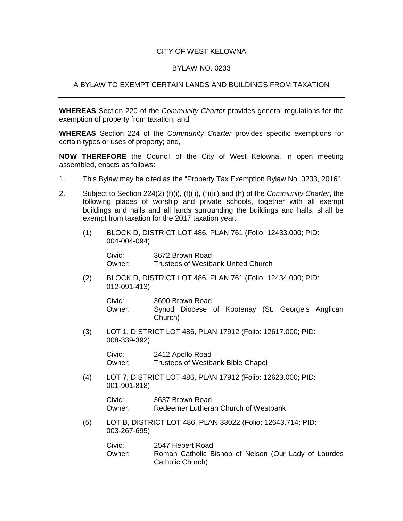## CITY OF WEST KELOWNA

## BYLAW NO. 0233

## A BYLAW TO EXEMPT CERTAIN LANDS AND BUILDINGS FROM TAXATION

**WHEREAS** Section 220 of the *Community Charter* provides general regulations for the exemption of property from taxation; and,

**WHEREAS** Section 224 of the *Community Charter* provides specific exemptions for certain types or uses of property; and,

**NOW THEREFORE** the Council of the City of West Kelowna, in open meeting assembled, enacts as follows:

- 1. This Bylaw may be cited as the "Property Tax Exemption Bylaw No. 0233, 2016".
- 2. Subject to Section 224(2) (f)(i), (f)(ii), (f)(iii) and (h) of the *Community Charter*, the following places of worship and private schools, together with all exempt buildings and halls and all lands surrounding the buildings and halls, shall be exempt from taxation for the 2017 taxation year:
	- (1) BLOCK D, DISTRICT LOT 486, PLAN 761 (Folio: 12433.000; PID: 004-004-094)

Civic: 3672 Brown Road Owner: Trustees of Westbank United Church

(2) BLOCK D, DISTRICT LOT 486, PLAN 761 (Folio: 12434.000; PID: 012-091-413)

| Civic: | 3690 Brown Road |  |  |                                                  |  |  |  |
|--------|-----------------|--|--|--------------------------------------------------|--|--|--|
| Owner: | Church)         |  |  | Synod Diocese of Kootenay (St. George's Anglican |  |  |  |

(3) LOT 1, DISTRICT LOT 486, PLAN 17912 (Folio: 12617.000; PID: 008-339-392)

> Civic: 2412 Apollo Road<br>Owner: Trustees of Westb Trustees of Westbank Bible Chapel

(4) LOT 7, DISTRICT LOT 486, PLAN 17912 (Folio: 12623.000; PID: 001-901-818)

> Civic: 3637 Brown Road Owner: Redeemer Lutheran Church of Westbank

(5) LOT B, DISTRICT LOT 486, PLAN 33022 (Folio: 12643.714; PID: 003-267-695)

> Civic: 2547 Hebert Road Owner: Roman Catholic Bishop of Nelson (Our Lady of Lourdes Catholic Church)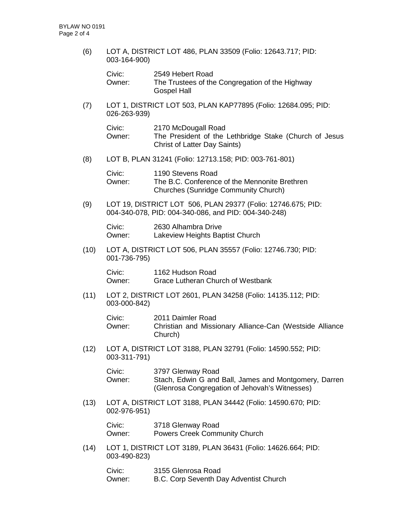(6) LOT A, DISTRICT LOT 486, PLAN 33509 (Folio: 12643.717; PID: 003-164-900)

| Civic: | 2549 Hebert Road                                |
|--------|-------------------------------------------------|
| Owner: | The Trustees of the Congregation of the Highway |
|        | <b>Gospel Hall</b>                              |

(7) LOT 1, DISTRICT LOT 503, PLAN KAP77895 (Folio: 12684.095; PID: 026-263-939)

| Civic: | 2170 McDougall Road                                    |
|--------|--------------------------------------------------------|
| Owner: | The President of the Lethbridge Stake (Church of Jesus |
|        | <b>Christ of Latter Day Saints)</b>                    |

(8) LOT B, PLAN 31241 (Folio: 12713.158; PID: 003-761-801)

| Civic: | 1190 Stevens Road                             |
|--------|-----------------------------------------------|
| Owner: | The B.C. Conference of the Mennonite Brethren |
|        | Churches (Sunridge Community Church)          |

(9) LOT 19, DISTRICT LOT 506, PLAN 29377 (Folio: 12746.675; PID: 004-340-078, PID: 004-340-086, and PID: 004-340-248)

Civic: 2630 Alhambra Drive Owner: Lakeview Heights Baptist Church

(10) LOT A, DISTRICT LOT 506, PLAN 35557 (Folio: 12746.730; PID: 001-736-795)

Civic: 1162 Hudson Road Owner: Grace Lutheran Church of Westbank

(11) LOT 2, DISTRICT LOT 2601, PLAN 34258 (Folio: 14135.112; PID: 003-000-842)

| Civic: | 2011 Daimler Road                                                   |
|--------|---------------------------------------------------------------------|
| Owner: | Christian and Missionary Alliance-Can (Westside Alliance<br>Church) |

(12) LOT A, DISTRICT LOT 3188, PLAN 32791 (Folio: 14590.552; PID: 003-311-791)

| Civic: | 3797 Glenway Road                                     |
|--------|-------------------------------------------------------|
| Owner: | Stach, Edwin G and Ball, James and Montgomery, Darren |
|        | (Glenrosa Congregation of Jehovah's Witnesses)        |

(13) LOT A, DISTRICT LOT 3188, PLAN 34442 (Folio: 14590.670; PID: 002-976-951)

| Civic: | 3718 Glenway Road                    |
|--------|--------------------------------------|
| Owner: | <b>Powers Creek Community Church</b> |

(14) LOT 1, DISTRICT LOT 3189, PLAN 36431 (Folio: 14626.664; PID: 003-490-823)

| Civic: | 3155 Glenrosa Road                     |
|--------|----------------------------------------|
| Owner: | B.C. Corp Seventh Day Adventist Church |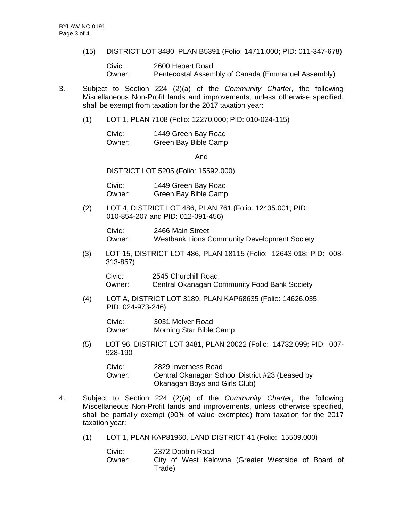(15) DISTRICT LOT 3480, PLAN B5391 (Folio: 14711.000; PID: 011-347-678)

Civic: 2600 Hebert Road Owner: Pentecostal Assembly of Canada (Emmanuel Assembly)

- 3. Subject to Section 224 (2)(a) of the *Community Charter*, the following Miscellaneous Non-Profit lands and improvements, unless otherwise specified, shall be exempt from taxation for the 2017 taxation year:
	- (1) LOT 1, PLAN 7108 (Folio: 12270.000; PID: 010-024-115)

| Civic: | 1449 Green Bay Road  |
|--------|----------------------|
| Owner: | Green Bay Bible Camp |

And

DISTRICT LOT 5205 (Folio: 15592.000)

Civic: 1449 Green Bay Road Owner: Green Bay Bible Camp

(2) LOT 4, DISTRICT LOT 486, PLAN 761 (Folio: 12435.001; PID: 010-854-207 and PID: 012-091-456)

> Civic: 2466 Main Street<br>Owner: Westbank Lions C Westbank Lions Community Development Society

(3) LOT 15, DISTRICT LOT 486, PLAN 18115 (Folio: 12643.018; PID: 008- 313-857)

Civic: 2545 Churchill Road Owner: Central Okanagan Community Food Bank Society

(4) LOT A, DISTRICT LOT 3189, PLAN KAP68635 (Folio: 14626.035; PID: 024-973-246)

Civic: 3031 McIver Road Owner: Morning Star Bible Camp

(5) LOT 96, DISTRICT LOT 3481, PLAN 20022 (Folio: 14732.099; PID: 007- 928-190

| Civic: | 2829 Inverness Road                             |
|--------|-------------------------------------------------|
| Owner: | Central Okanagan School District #23 (Leased by |
|        | Okanagan Boys and Girls Club)                   |

- 4. Subject to Section 224 (2)(a) of the *Community Charter*, the following Miscellaneous Non-Profit lands and improvements, unless otherwise specified, shall be partially exempt (90% of value exempted) from taxation for the 2017 taxation year:
	- (1) LOT 1, PLAN KAP81960, LAND DISTRICT 41 (Folio: 15509.000)

| Civic: | 2372 Dobbin Road |  |  |  |  |                                                    |  |  |  |
|--------|------------------|--|--|--|--|----------------------------------------------------|--|--|--|
| Owner: | Trade)           |  |  |  |  | City of West Kelowna (Greater Westside of Board of |  |  |  |